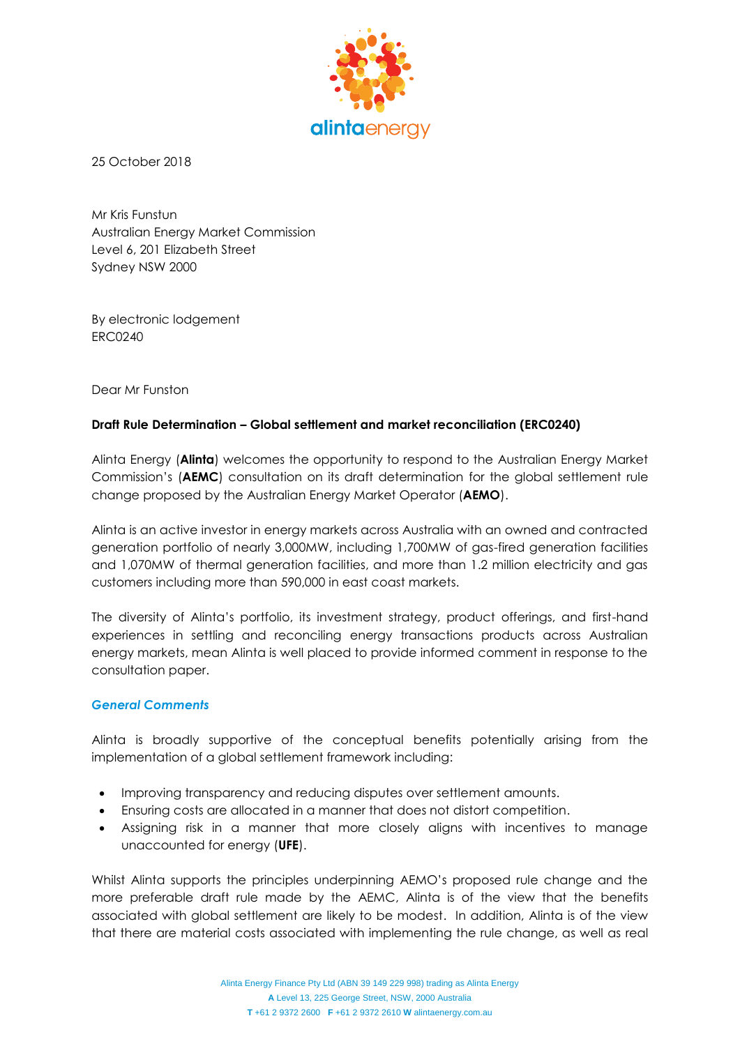

25 October 2018

Mr Kris Funstun Australian Energy Market Commission Level 6, 201 Elizabeth Street Sydney NSW 2000

By electronic lodgement ERC0240

Dear Mr Funston

## **Draft Rule Determination – Global settlement and market reconciliation (ERC0240)**

Alinta Energy (**Alinta**) welcomes the opportunity to respond to the Australian Energy Market Commission's (**AEMC**) consultation on its draft determination for the global settlement rule change proposed by the Australian Energy Market Operator (**AEMO**).

Alinta is an active investor in energy markets across Australia with an owned and contracted generation portfolio of nearly 3,000MW, including 1,700MW of gas-fired generation facilities and 1,070MW of thermal generation facilities, and more than 1.2 million electricity and gas customers including more than 590,000 in east coast markets.

The diversity of Alinta's portfolio, its investment strategy, product offerings, and first-hand experiences in settling and reconciling energy transactions products across Australian energy markets, mean Alinta is well placed to provide informed comment in response to the consultation paper.

### *General Comments*

Alinta is broadly supportive of the conceptual benefits potentially arising from the implementation of a global settlement framework including:

- Improving transparency and reducing disputes over settlement amounts.
- Ensuring costs are allocated in a manner that does not distort competition.
- Assigning risk in a manner that more closely aligns with incentives to manage unaccounted for energy (**UFE**).

Whilst Alinta supports the principles underpinning AEMO's proposed rule change and the more preferable draft rule made by the AEMC, Alinta is of the view that the benefits associated with global settlement are likely to be modest. In addition, Alinta is of the view that there are material costs associated with implementing the rule change, as well as real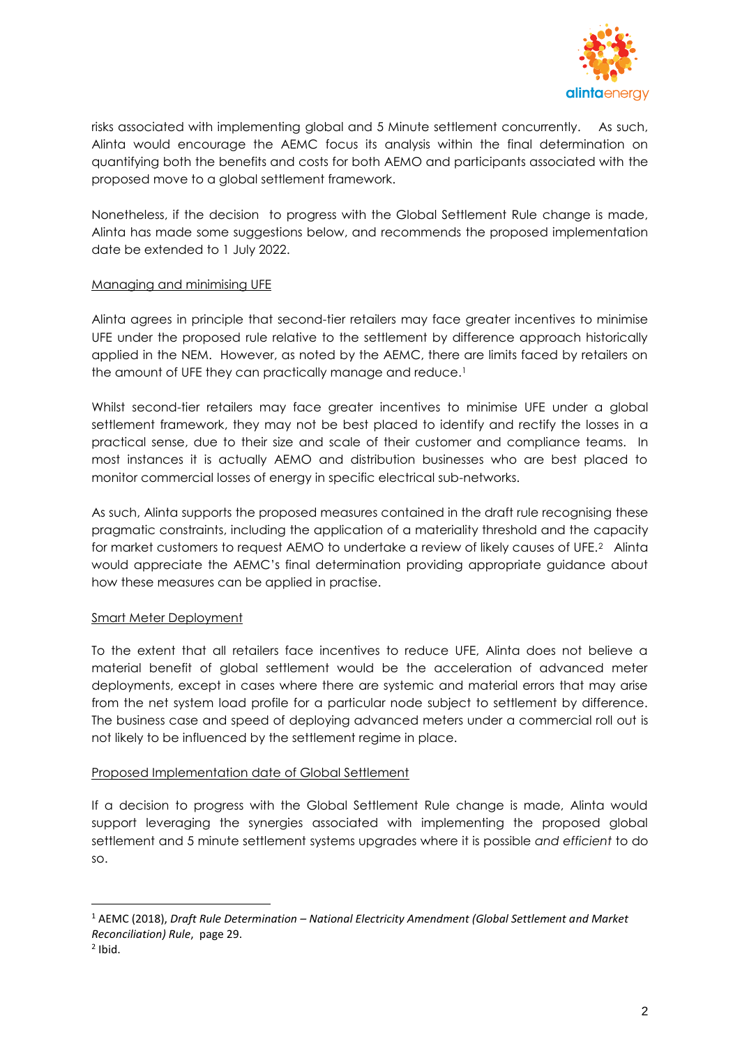

risks associated with implementing global and 5 Minute settlement concurrently. As such, Alinta would encourage the AEMC focus its analysis within the final determination on quantifying both the benefits and costs for both AEMO and participants associated with the proposed move to a global settlement framework.

Nonetheless, if the decision to progress with the Global Settlement Rule change is made, Alinta has made some suggestions below, and recommends the proposed implementation date be extended to 1 July 2022.

## Managing and minimising UFE

Alinta agrees in principle that second-tier retailers may face greater incentives to minimise UFE under the proposed rule relative to the settlement by difference approach historically applied in the NEM. However, as noted by the AEMC, there are limits faced by retailers on the amount of UFE they can practically manage and reduce.<sup>1</sup>

Whilst second-tier retailers may face greater incentives to minimise UFE under a global settlement framework, they may not be best placed to identify and rectify the losses in a practical sense, due to their size and scale of their customer and compliance teams. In most instances it is actually AEMO and distribution businesses who are best placed to monitor commercial losses of energy in specific electrical sub-networks.

As such, Alinta supports the proposed measures contained in the draft rule recognising these pragmatic constraints, including the application of a materiality threshold and the capacity for market customers to request AEMO to undertake a review of likely causes of UFE.2 Alinta would appreciate the AEMC's final determination providing appropriate guidance about how these measures can be applied in practise.

# Smart Meter Deployment

To the extent that all retailers face incentives to reduce UFE, Alinta does not believe a material benefit of global settlement would be the acceleration of advanced meter deployments, except in cases where there are systemic and material errors that may arise from the net system load profile for a particular node subject to settlement by difference. The business case and speed of deploying advanced meters under a commercial roll out is not likely to be influenced by the settlement regime in place.

### Proposed Implementation date of Global Settlement

If a decision to progress with the Global Settlement Rule change is made, Alinta would support leveraging the synergies associated with implementing the proposed global settlement and 5 minute settlement systems upgrades where it is possible *and efficient* to do so.

 $\overline{a}$ 

<sup>1</sup> AEMC (2018), *Draft Rule Determination – National Electricity Amendment (Global Settlement and Market Reconciliation) Rule*, page 29.

 $2$  Ibid.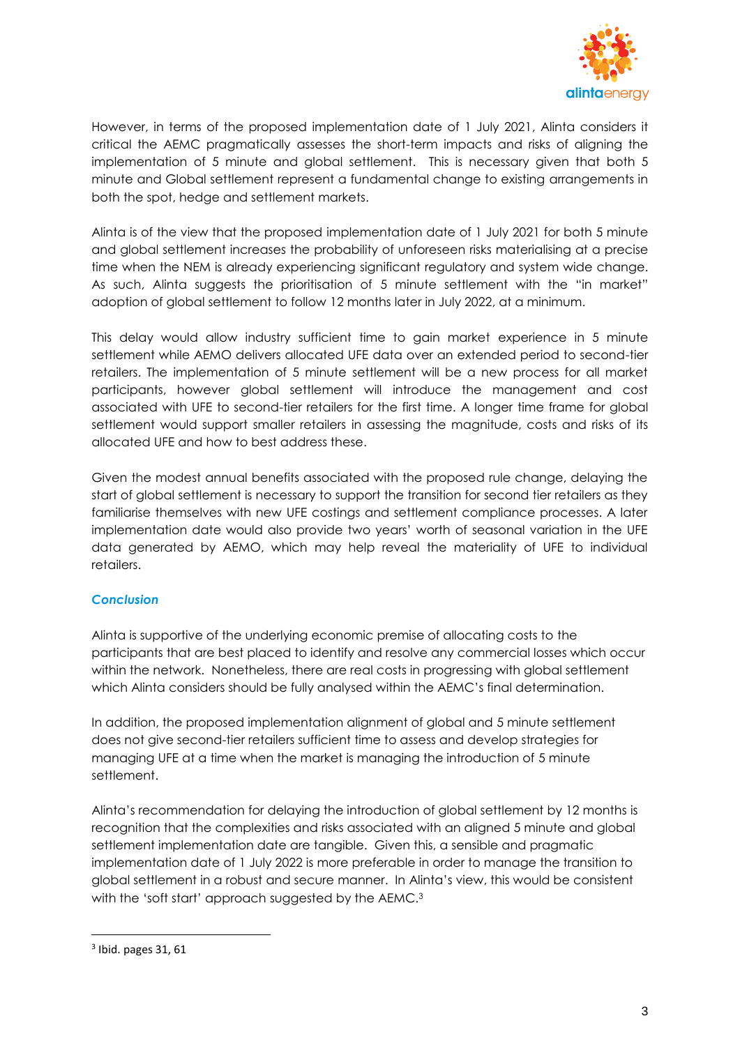

However, in terms of the proposed implementation date of 1 July 2021, Alinta considers it critical the AEMC pragmatically assesses the short-term impacts and risks of aligning the implementation of 5 minute and global settlement. This is necessary given that both 5 minute and Global settlement represent a fundamental change to existing arrangements in both the spot, hedge and settlement markets.

Alinta is of the view that the proposed implementation date of 1 July 2021 for both 5 minute and global settlement increases the probability of unforeseen risks materialising at a precise time when the NEM is already experiencing significant regulatory and system wide change. As such, Alinta suggests the prioritisation of 5 minute settlement with the "in market" adoption of global settlement to follow 12 months later in July 2022, at a minimum.

This delay would allow industry sufficient time to gain market experience in 5 minute settlement while AEMO delivers allocated UFE data over an extended period to second-tier retailers. The implementation of 5 minute settlement will be a new process for all market participants, however global settlement will introduce the management and cost associated with UFE to second-tier retailers for the first time. A longer time frame for global settlement would support smaller retailers in assessing the magnitude, costs and risks of its allocated UFE and how to best address these.

Given the modest annual benefits associated with the proposed rule change, delaying the start of global settlement is necessary to support the transition for second tier retailers as they familiarise themselves with new UFE costings and settlement compliance processes. A later implementation date would also provide two years' worth of seasonal variation in the UFE data generated by AEMO, which may help reveal the materiality of UFE to individual retailers.

# *Conclusion*

Alinta is supportive of the underlying economic premise of allocating costs to the participants that are best placed to identify and resolve any commercial losses which occur within the network. Nonetheless, there are real costs in progressing with global settlement which Alinta considers should be fully analysed within the AEMC's final determination.

In addition, the proposed implementation alignment of global and 5 minute settlement does not give second-tier retailers sufficient time to assess and develop strategies for managing UFE at a time when the market is managing the introduction of 5 minute settlement.

Alinta's recommendation for delaying the introduction of global settlement by 12 months is recognition that the complexities and risks associated with an aligned 5 minute and global settlement implementation date are tangible. Given this, a sensible and pragmatic implementation date of 1 July 2022 is more preferable in order to manage the transition to global settlement in a robust and secure manner. In Alinta's view, this would be consistent with the 'soft start' approach suggested by the AEMC.<sup>3</sup>

 $\overline{a}$ 

<sup>3</sup> Ibid. pages 31, 61